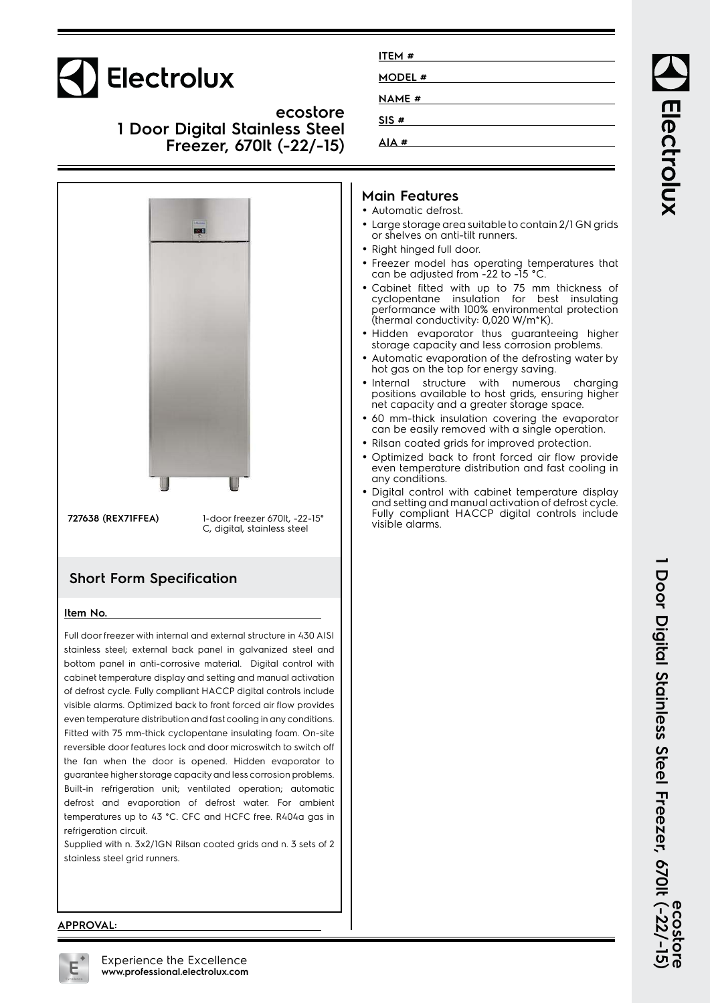

**ecostore 1 Door Digital Stainless Steel Freezer, 670lt (-22/-15)**



#### **Short Form Specification**

#### **Item No.**

Full door freezer with internal and external structure in 430 AISI stainless steel; external back panel in galvanized steel and bottom panel in anti-corrosive material. Digital control with cabinet temperature display and setting and manual activation of defrost cycle. Fully compliant HACCP digital controls include visible alarms. Optimized back to front forced air flow provides even temperature distribution and fast cooling in any conditions. Fitted with 75 mm-thick cyclopentane insulating foam. On-site reversible door features lock and door microswitch to switch off the fan when the door is opened. Hidden evaporator to guarantee higher storage capacity and less corrosion problems. Built-in refrigeration unit; ventilated operation; automatic defrost and evaporation of defrost water. For ambient temperatures up to 43 °C. CFC and HCFC free. R404a gas in refrigeration circuit.

Supplied with n. 3x2/1GN Rilsan coated grids and n. 3 sets of 2 stainless steel grid runners.

| ITEM#         |  |  |
|---------------|--|--|
| <b>MODEL#</b> |  |  |
| <b>NAME#</b>  |  |  |
| SIS#          |  |  |
| AIA#          |  |  |

#### **Main Features**

- Automatic defrost.
- Large storage area suitable to contain 2/1 GN grids or shelves on anti-tilt runners.
- Right hinged full door.
- Freezer model has operating temperatures that can be adjusted from -22 to -15 °C.
- Cabinet fitted with up to 75 mm thickness of cyclopentane insulation for best insulating performance with 100% environmental protection (thermal conductivity: 0,020 W/m\*K).
- Hidden evaporator thus guaranteeing higher storage capacity and less corrosion problems.
- • Automatic evaporation of the defrosting water by hot gas on the top for energy saving.
- Internal structure with numerous charging positions available to host grids, ensuring higher net capacity and a greater storage space.
- 60 mm-thick insulation covering the evaporator can be easily removed with a single operation.
- Rilsan coated grids for improved protection.
- • Optimized back to front forced air flow provide even temperature distribution and fast cooling in any conditions.
- Digital control with cabinet temperature display and setting and manual activation of defrost cycle. Fully compliant HACCP digital controls include visible alarms.

#### **APPROVAL:**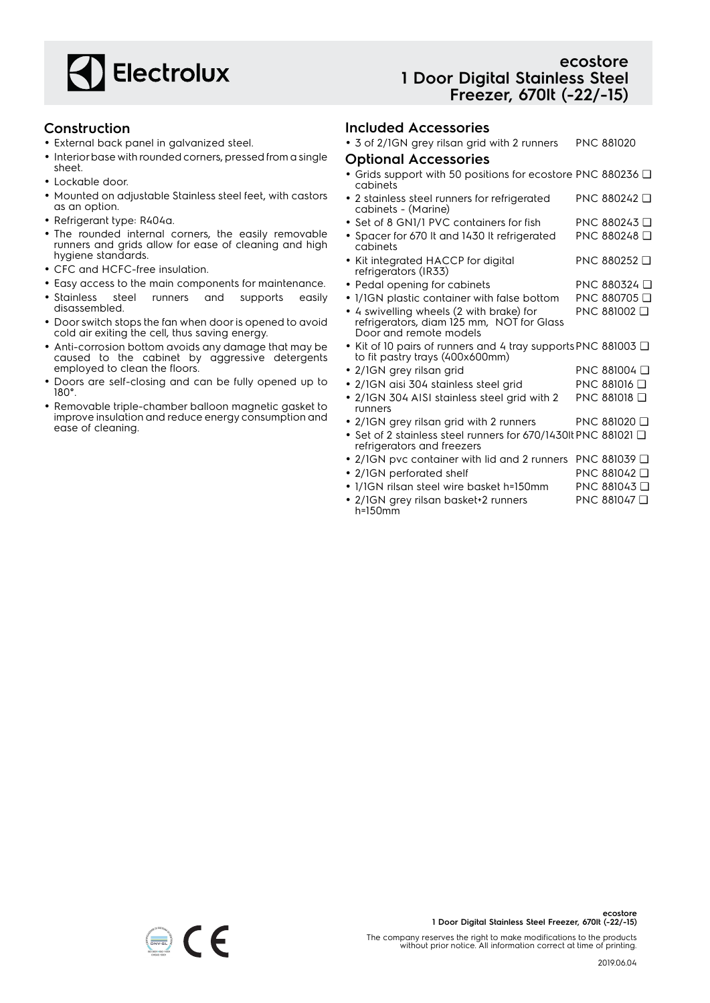

#### **Construction**

- External back panel in galvanized steel.
- Interior base with rounded corners, pressed from a single sheet.
- Lockable door.
- Mounted on adjustable Stainless steel feet, with castors as an option.
- Refrigerant type: R404a.
- The rounded internal corners, the easily removable runners and grids allow for ease of cleaning and high hygiene standards.
- CFC and HCFC-free insulation.
- Easy access to the main components for maintenance.
- Stainless steel runners and supports easily disassembled.
- Door switch stops the fan when door is opened to avoid cold air exiting the cell, thus saving energy.
- Anti-corrosion bottom avoids any damage that may be caused to the cabinet by aggressive detergents employed to clean the floors.
- Doors are self-closing and can be fully opened up to 180°.
- Removable triple-chamber balloon magnetic gasket to improve insulation and reduce energy consumption and ease of cleaning.

#### **ecostore 1 Door Digital Stainless Steel Freezer, 670lt (-22/-15)**

#### **Included Accessories**

• 3 of 2/1GN grey rilsan grid with 2 runners PNC 881020

- **Optional Accessories**
- Grids support with 50 positions for ecostore PNC 880236 ❑ cabinets
- 2 stainless steel runners for refrigerated cabinets - (Marine) PNC 880242 ❑
- Set of 8 GN1/1 PVC containers for fish PNC 880243 ❑
- Spacer for 670 lt and 1430 lt refrigerated cabinets PNC 880248 ❑
- Kit integrated HACCP for digital refrigerators (IR33) PNC 880252 ❑
- Pedal opening for cabinets PNC 880324 Q
- 1/1GN plastic container with false bottom PNC 880705 ❑
- 4 swivelling wheels (2 with brake) for PNC 881002 ❑
	- refrigerators, diam 125 mm, NOT for Glass Door and remote models
- Kit of 10 pairs of runners and 4 tray supports PNC 881003 ❑ to fit pastry trays (400x600mm)
- 2/1GN grey rilsan grid PNC 881004 ❑
- 2/1GN aisi 304 stainless steel grid PNC 881016 ❑
- 2/1GN 304 AISI stainless steel grid with 2 runners PNC 881018 ❑
- 2/1GN grey rilsan grid with 2 runners PNC 881020 ❑
- Set of 2 stainless steel runners for 670/1430lt PNC 881021 ❑ refrigerators and freezers
- 2/1GN pvc container with lid and 2 runners PNC 881039 ❑
- 2/1GN perforated shelf PNC 881042 □
- 1/1GN rilsan steel wire basket h=150mm PNC 881043 ❑
- 2/1GN grey rilsan basket+2 runners h=150mm PNC 881047 ❑

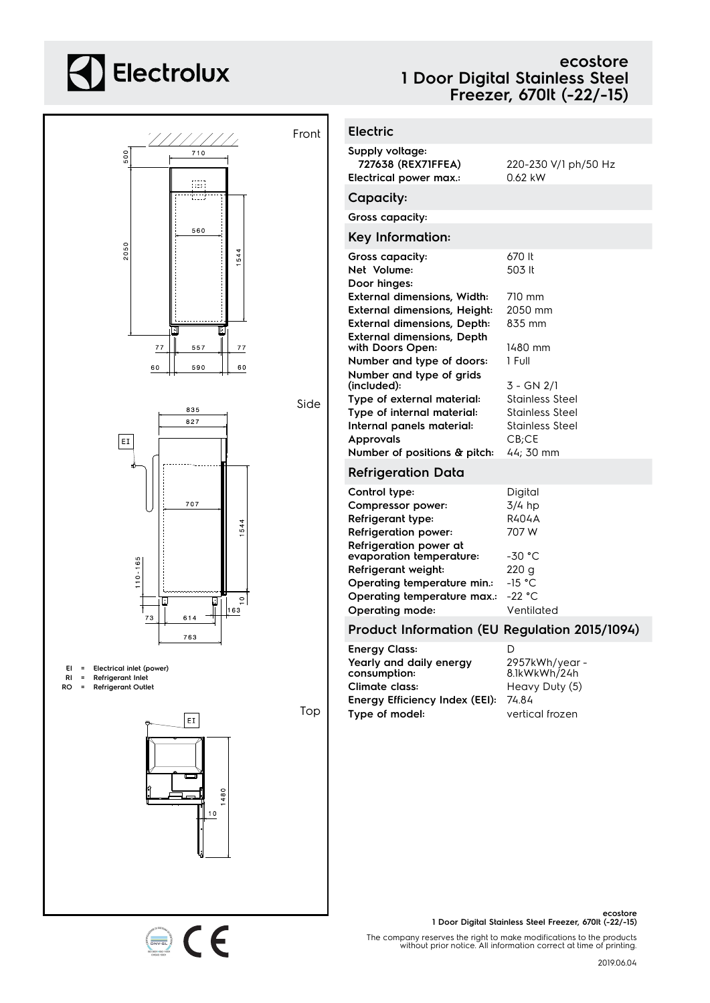# **A** Electrolux

### **ecostore 1 Door Digital Stainless Steel Freezer, 670lt (-22/-15)**



 $\epsilon$ 

| <b>Electric</b>                                                                                                                                                                      |                                                                                                    |
|--------------------------------------------------------------------------------------------------------------------------------------------------------------------------------------|----------------------------------------------------------------------------------------------------|
| Supply voltage:<br>727638 (REX71FFEA)<br><b>Electrical power max.:</b>                                                                                                               | 220-230 V/1 ph/50 Hz<br>0.62 kW                                                                    |
| Capacity:                                                                                                                                                                            |                                                                                                    |
| Gross capacity:                                                                                                                                                                      |                                                                                                    |
| Key Information:                                                                                                                                                                     |                                                                                                    |
| Gross capacity:<br>Net Volume:<br>Door hinaes:                                                                                                                                       | 670 It<br>503 lt                                                                                   |
| <b>External dimensions, Width:</b><br><b>External dimensions, Height:</b><br><b>External dimensions, Depth:</b><br><b>External dimensions, Depth</b>                                 | 710 mm<br>2050 mm<br>835 mm                                                                        |
| with Doors Open:<br>Number and type of doors:                                                                                                                                        | 1480 mm<br>1 Full                                                                                  |
| Number and type of grids<br>(included):<br>Type of external material:<br>Type of internal material:<br>Internal panels material:<br><b>Approvals</b><br>Number of positions & pitch: | $3 - GN$ 2/1<br><b>Stainless Steel</b><br>Stainless Steel<br>Stainless Steel<br>CB;CE<br>44; 30 mm |
| <b>Refrigeration Data</b>                                                                                                                                                            |                                                                                                    |
| Control type:<br>Compressor power:<br>Refrigerant type:<br><b>Refrigeration power:</b>                                                                                               | Digital<br>$3/4$ hp<br>R404A<br>707 W                                                              |
| Refrigeration power at<br>evaporation temperature:<br>Refrigerant weight:<br>Operating temperature min.:<br>Operating temperature max.:<br><b>Operating mode:</b>                    | $-30 °C$<br>220 <sub>g</sub><br>$-15 °C$<br>$-22 °C$<br>Ventilated                                 |
| Product Information (EU Regulation 2015/1094)                                                                                                                                        |                                                                                                    |
|                                                                                                                                                                                      |                                                                                                    |

**Energy Class:** D **Yearly and daily energy consumption:** 2957kWh/year - 8.1kWkWh/24h **Climate class:** Heavy Duty (5) **Energy Efficiency Index (EEI):** 74.84 **Type of model:** vertical frozen

> **ecostore 1 Door Digital Stainless Steel Freezer, 670lt (-22/-15)**

The company reserves the right to make modifications to the products without prior notice. All information correct at time of printing.